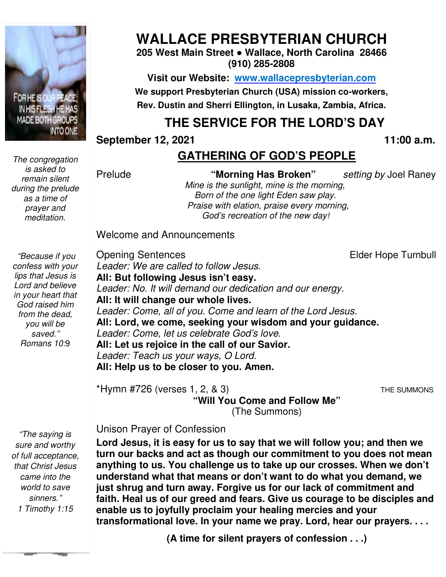

*The congregation is asked to remain silent during the prelude as a time of prayer and meditation.* 

# **WALLACE PRESBYTERIAN CHURCH**

**205 West Main Main Street ● Wallace, North Carolina 28466 (910) 285-2808** 

**Visit our Website: www.wallacepresbyterian.com** We support Presbyterian Church (USA) mission co-workers, Rev. Dustin and Sherri Ellington, in Lusaka, Zambia, Africa.

## **THE SERVICE FOR THE LORD'S DAY**

**September 12, 2021** 

**, 11:00 a.m**

## **GATHERING OF GOD'S PEOPLE**

Prelude

"Morning Has Broken" setting by Joel Raney

*Mine is the sunlight, mine is the morning, Born of the one light Eden saw play. Praise wit the one with elation, praise every morning, God's recreation of the new day! the* 

Welcome and Announcements and Announcements

Opening Sentences Leader: We are called to follow Jesus. **All: But following Jesus isn't easy. isn't** *Leader: No. It will demand our dedication and our energy.* **All: It will change our whole lives.** *Leader: Come, all of you. Come and learn of the Lord Jesus.* **All: Lord, we come, seekin seeking your wisdom and your guidance.**  Leader: Come, let us celebrate God's love. **All: Let us rejoice in the call of our Savior. us rejoice** Leader: Teach us your ways, O Lord. **All: Help us to be closer to you. Amen. us** Elder Hope Turnbull : No. It will de<br>**vill change ot**<br>: Come, all of September 12, 2021<br>
Triangle and the solution of GOD'S PEOPLE<br>
Prelude "Morming Has Broken" setting by Joel Raney<br>
More is the sumple of the constrained for the set anoming.<br> *Bom of the superfigine Eden search princips*.<br>

\*Hymn #726 (verses 1, 2, & 3 **"Will You Come and Follow Me"**  3) THE SUMMONS (The Summons)

 $\overline{a}$ *"The saying is sure and worthy of full acceptance, that Christ Jesus came into the world to save sinners." 1 Timothy 1:15* 

Unison Prayer of Confession Unison Prayer of

**Lord Jesus, it is easy for us to say that we will follow you; and then we**  Lord Jesus, it is easy for us to say that we will follow you; and then we<br>turn our backs and act as though our commitment to you does not mean **anything to us. You challenge us to take up our crosses. When we don't understand what that means or don't want to do what you demand, we just shrug and turn away. Forgive us for our lack of commitment and faith. Heal us of our greed and fears. Give us courage to be disciples and enable us to joyfully proclaim your healing mercies and your transformational love. In your name we pray. Lord, hear our prayers** Lord Jesus, it is easy for us to say that we will follow you; and then we<br>turn our backs and act as though our commitment to you does not mean<br>anything to us. You challenge us to take up our crosses. When we don't<br>understa

**(A time for silent prayers of confession . . .)**

 *"Because if you confess with your lips that Jesus is Lord and believe in your heart that God raised him from the dead, you will be saved." Romans 10:*9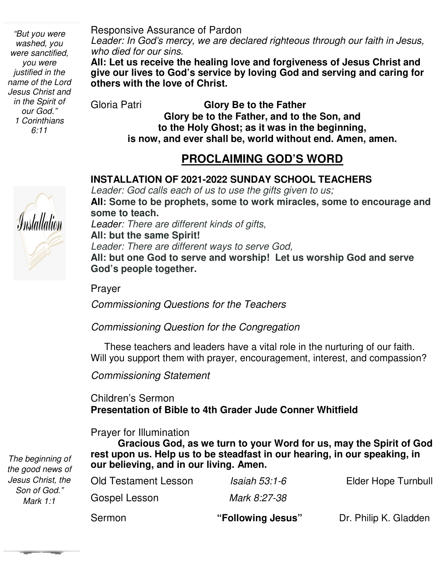*"But you were washed, you were sanctified, you were justified in the name of the Lord Jesus Christ and in the Spirit of our God." 1 Corinthians 6:11* 

Responsive Assurance of Pardon

*Leader: In God's mercy, we are declared righteous through our faith in Jesus, who died for our sins.*

**All: Let us receive the healing love and forgiveness of Jesus Christ and give our lives to God's service by loving God and serving and caring for others with the love of Christ.**

Gloria Patri **Glory Be to the Father Glory be to the Father, and to the Son, and to the Holy Ghost; as it was in the beginning, is now, and ever shall be, world without end. Amen, amen.** 

### **PROCLAIMING GOD'S WORD**

#### **INSTALLATION OF 2021-2022 SUNDAY SCHOOL TEACHERS**

 **All: but the same Spirit!**  *Leader: There are different ways to serve God, Leader: God calls each of us to use the gifts given to us;*  **All: Some to be prophets, some to work miracles, some to encourage and some to teach.**  *Leader: There are different kinds of gifts,*  **All: but one God to serve and worship! Let us worship God and serve God's people together.** 

Prayer

*Commissioning Questions for the Teachers* 

*Commissioning Question for the Congregation* 

 These teachers and leaders have a vital role in the nurturing of our faith. Will you support them with prayer, encouragement, interest, and compassion?

*Commissioning Statement* 

Children's Sermon **Presentation of Bible to 4th Grader Jude Conner Whitfield** 

Prayer for Illumination

 **Gracious God, as we turn to your Word for us, may the Spirit of God rest upon us. Help us to be steadfast in our hearing, in our speaking, in our believing, and in our living. Amen.**

|               | Sermon               | "Following Jesus"    | Dr. Philip K. Gladden |
|---------------|----------------------|----------------------|-----------------------|
| God."<br>:1:1 | Gospel Lesson        | Mark 8:27-38         |                       |
| nrist, the    | Old Testament Lesson | <i>Isaiah 53:1-6</i> | Elder Hope Turnbull   |



*The beginning of the good news of Jesus Ch Son of*  $Mark$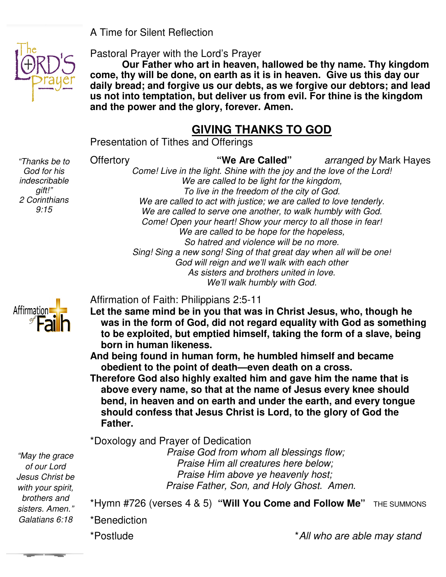A Time for Silent Reflection



Pastoral Prayer with the Lord's Prayer

**Our Father who art in heaven, hallowed be thy name. Thy kingdom come, thy will be done, on earth as it is in heaven. Give us this day our daily bread; and forgive us our debts, as we forgive our debtors; and lead us not into temptation, but deliver us from evil. For thine is the kingdom and the power and the glory, forever. Amen** Our Father who art in heaven, hallowe<br>me, thy will be done, on earth as it is in he<br>ly bread; and forgive us our debts, as we<br>not into temptation, but deliver us from ev<br>d the power and the glory, forever. Amen.

### **GIVING THANKS TO GOD**

Presentation of Tithes and Offerings

*"Thanks be to God for his indescribable gift!" 2 Corinthians 9:15* 

**Offertory** *Come! Live in the light. Shine with the joy and the love of the Lord! We are called to be light for the kingdom in the We to light kingdom, To live in the freedom of the city of God. We are called to act with justice; we are called to love tenderly. We are called to serve one another, to walk humbly with God. Come! Open your heart! Show your mercy to all those in fear! We are called to be h So hatred and violence will be no more. Sing! Sing a new song! Sing of that great day when all will be one! God will reign and we'll walk with each other As sisters and brothers united in love.* **"We Are Called"** *arranged by* Mark Hayes *act with justice; we are called to love*<br>*serve one another, to walk humbly var heart! Show your mercy to all thos*<br>*e called to be hope for the hopeless, So hatred and violence will be no i*<br>*Sing! Sing a new song! Sing of that great day wift*<br>God will reign and we'll walk with ead.<br>As sisters and brothers united in l<br>We'll walk humbly with God. come, thy will be done, on earth as it is in heaven. Give us this day our daily bread; and forgive us our debts, as we forgive our debtors; and lead<br>us not into temptation, but deliver us from evil. For thine is the kingdo



### Affirmation of Faith: Philippians 2:5 2:5-11

**Let the same mind be in you that was in Christ Jesus, who, though he was in the form of God, God, did not regard equality with God as something to be exploited, but emptied himself, himself, taking the form of a slave, bei born in human likeness. likeness.**

**And being found in human form, he humbled himself and became obedient to the point of death death—even death on a cross.**

**Therefore God also highly exalted him God him and gave him the name that is above every name, so that at the name of Jesus every knee should should bend, in heaven and on earth and under the earth, and every tongue should confess that Jesus Christ is Lord, to the glory of God the Father.** 

\*Doxology and Prayer of Dedication

 *Praise God from whom all blessings flow; Praise Praise Praise Him above ye heavenly host; Praise Him all creatures here below; Praise Him Praise Father, Son, and Holy Ghost. Amen.*

*"May the grace of our Lord Jesus Christ be with your spirit, brothers and sisters. Amen." Galatians 6:18* 

\*Hymn #726 (verses 4 & 5) "Will You Come and Follow Me" THE SUMMONS \*Benediction

\*Postlude

\**All who are able may stand may*